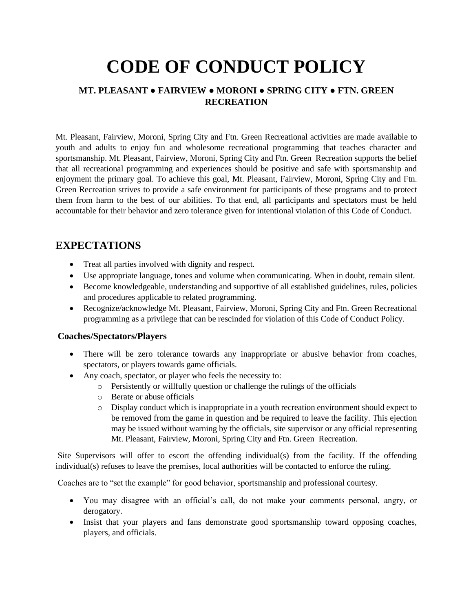# **CODE OF CONDUCT POLICY**

## **MT. PLEASANT ● FAIRVIEW ● MORONI ● SPRING CITY ● FTN. GREEN RECREATION**

Mt. Pleasant, Fairview, Moroni, Spring City and Ftn. Green Recreational activities are made available to youth and adults to enjoy fun and wholesome recreational programming that teaches character and sportsmanship. Mt. Pleasant, Fairview, Moroni, Spring City and Ftn. Green Recreation supports the belief that all recreational programming and experiences should be positive and safe with sportsmanship and enjoyment the primary goal. To achieve this goal, Mt. Pleasant, Fairview, Moroni, Spring City and Ftn. Green Recreation strives to provide a safe environment for participants of these programs and to protect them from harm to the best of our abilities. To that end, all participants and spectators must be held accountable for their behavior and zero tolerance given for intentional violation of this Code of Conduct.

## **EXPECTATIONS**

- Treat all parties involved with dignity and respect.
- Use appropriate language, tones and volume when communicating. When in doubt, remain silent.
- Become knowledgeable, understanding and supportive of all established guidelines, rules, policies and procedures applicable to related programming.
- Recognize/acknowledge Mt. Pleasant, Fairview, Moroni, Spring City and Ftn. Green Recreational programming as a privilege that can be rescinded for violation of this Code of Conduct Policy.

### **Coaches/Spectators/Players**

- There will be zero tolerance towards any inappropriate or abusive behavior from coaches, spectators, or players towards game officials.
- Any coach, spectator, or player who feels the necessity to:
	- o Persistently or willfully question or challenge the rulings of the officials
	- o Berate or abuse officials
	- o Display conduct which is inappropriate in a youth recreation environment should expect to be removed from the game in question and be required to leave the facility. This ejection may be issued without warning by the officials, site supervisor or any official representing Mt. Pleasant, Fairview, Moroni, Spring City and Ftn. Green Recreation.

Site Supervisors will offer to escort the offending individual(s) from the facility. If the offending individual(s) refuses to leave the premises, local authorities will be contacted to enforce the ruling.

Coaches are to "set the example" for good behavior, sportsmanship and professional courtesy.

- You may disagree with an official's call, do not make your comments personal, angry, or derogatory.
- Insist that your players and fans demonstrate good sportsmanship toward opposing coaches, players, and officials.